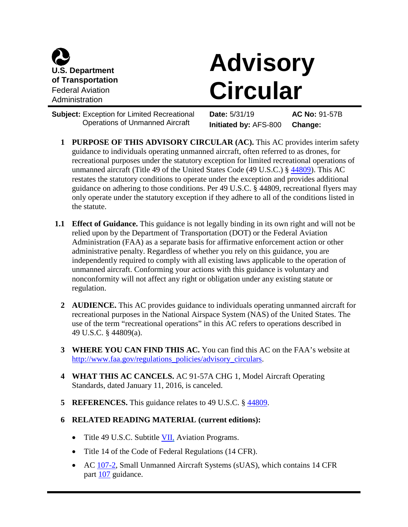

## **Advisory Circular**

**Subject:** Exception for Limited Recreational Operations of Unmanned Aircraft

**Date:** 5/31/19 **AC No:** 91-57B **Initiated by:** AFS-800 **Change:**

- **1 PURPOSE OF THIS ADVISORY CIRCULAR (AC).** This AC provides interim safety guidance to individuals operating unmanned aircraft, often referred to as drones, for recreational purposes under the statutory exception for limited recreational operations of unmanned aircraft (Title 49 of the United States Code (49 U.S.C.) § [44809\)](http://uscode.house.gov/view.xhtml?req=granuleid:USC-prelim-title49-section44809&num=0&edition=prelim). This AC restates the statutory conditions to operate under the exception and provides additional guidance on adhering to those conditions. Per 49 U.S.C. § 44809, recreational flyers may only operate under the statutory exception if they adhere to all of the conditions listed in the statute.
- **1.1 Effect of Guidance.** This guidance is not legally binding in its own right and will not be relied upon by the Department of Transportation (DOT) or the Federal Aviation Administration (FAA) as a separate basis for affirmative enforcement action or other administrative penalty. Regardless of whether you rely on this guidance, you are independently required to comply with all existing laws applicable to the operation of unmanned aircraft. Conforming your actions with this guidance is voluntary and nonconformity will not affect any right or obligation under any existing statute or regulation.
	- **2 AUDIENCE.** This AC provides guidance to individuals operating unmanned aircraft for recreational purposes in the National Airspace System (NAS) of the United States. The use of the term "recreational operations" in this AC refers to operations described in 49 U.S.C. § 44809(a).
	- **3 WHERE YOU CAN FIND THIS AC.** You can find this AC on the FAA's website at [http://www.faa.gov/regulations\\_policies/advisory\\_circulars.](http://www.faa.gov/regulations_policies/advisory_circulars)
	- **4 WHAT THIS AC CANCELS.** AC 91-57A CHG 1, Model Aircraft Operating Standards, dated January 11, 2016, is canceled.
	- **5 REFERENCES.** This guidance relates to 49 U.S.C. § [44809.](http://uscode.house.gov/view.xhtml?req=granuleid:USC-prelim-title49-section44809&num=0&edition=prelim)

## **6 RELATED READING MATERIAL (current editions):**

- Title 49 U.S.C. Subtitle  $VII$ , Aviation Programs.
- Title 14 of the Code of Federal Regulations (14 CFR).
- AC [107-2,](https://www.faa.gov/regulations_policies/advisory_circulars/index.cfm/go/document.information/documentID/1019962) Small Unmanned Aircraft Systems (sUAS), which contains 14 CFR part [107](https://www.ecfr.gov/cgi-bin/text-idx?SID=9f8baf5d99cbea0e6733658d9cf7bfe5&mc=true&node=pt14.2.107&rgn=div5) guidance.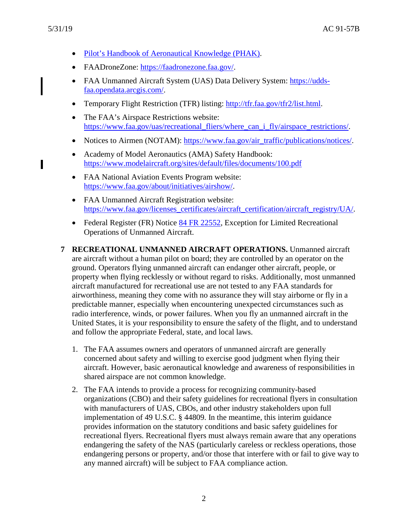ı

- [Pilot's Handbook of Aeronautical Knowledge \(PHAK\).](https://www.faa.gov/regulations_policies/handbooks_manuals/aviation/phak/)
- FAADroneZone: [https://faadronezone.faa.gov/.](https://faadronezone.faa.gov/)
- FAA Unmanned Aircraft System (UAS) Data Delivery System: [https://udds](https://udds-faa.opendata.arcgis.com/)[faa.opendata.arcgis.com/.](https://udds-faa.opendata.arcgis.com/)
- Temporary Flight Restriction (TFR) listing: [http://tfr.faa.gov/tfr2/list.html.](http://tfr.faa.gov/tfr2/list.html)
- The FAA's Airspace Restrictions website: [https://www.faa.gov/uas/recreational\\_fliers/where\\_can\\_i\\_fly/airspace\\_restrictions/.](https://www.faa.gov/uas/recreational_fliers/where_can_i_fly/airspace_restrictions/)
- Notices to Airmen (NOTAM): [https://www.faa.gov/air\\_traffic/publications/notices/.](https://www.faa.gov/air_traffic/publications/notices/)
- Academy of Model Aeronautics (AMA) Safety Handbook: <https://www.modelaircraft.org/sites/default/files/documents/100.pdf>
- FAA National Aviation Events Program website: [https://www.faa.gov/about/initiatives/airshow/.](https://www.faa.gov/about/initiatives/airshow/)
- FAA Unmanned Aircraft Registration website: [https://www.faa.gov/licenses\\_certificates/aircraft\\_certification/aircraft\\_registry/UA/.](https://www.faa.gov/licenses_certificates/aircraft_certification/aircraft_registry/UA/)
- Federal Register (FR) Notice [84 FR 22552,](https://www.federalregister.gov/documents/2019/05/17/2019-10169/exception-for-limited-recreational-operations-of-unmanned-aircraft) Exception for Limited Recreational Operations of Unmanned Aircraft.
- **7 RECREATIONAL UNMANNED AIRCRAFT OPERATIONS.** Unmanned aircraft are aircraft without a human pilot on board; they are controlled by an operator on the ground. Operators flying unmanned aircraft can endanger other aircraft, people, or property when flying recklessly or without regard to risks. Additionally, most unmanned aircraft manufactured for recreational use are not tested to any FAA standards for airworthiness, meaning they come with no assurance they will stay airborne or fly in a predictable manner, especially when encountering unexpected circumstances such as radio interference, winds, or power failures. When you fly an unmanned aircraft in the United States, it is your responsibility to ensure the safety of the flight, and to understand and follow the appropriate Federal, state, and local laws.
	- 1. The FAA assumes owners and operators of unmanned aircraft are generally concerned about safety and willing to exercise good judgment when flying their aircraft. However, basic aeronautical knowledge and awareness of responsibilities in shared airspace are not common knowledge.
	- 2. The FAA intends to provide a process for recognizing community-based organizations (CBO) and their safety guidelines for recreational flyers in consultation with manufacturers of UAS, CBOs, and other industry stakeholders upon full implementation of 49 U.S.C. § 44809. In the meantime, this interim guidance provides information on the statutory conditions and basic safety guidelines for recreational flyers. Recreational flyers must always remain aware that any operations endangering the safety of the NAS (particularly careless or reckless operations, those endangering persons or property, and/or those that interfere with or fail to give way to any manned aircraft) will be subject to FAA compliance action.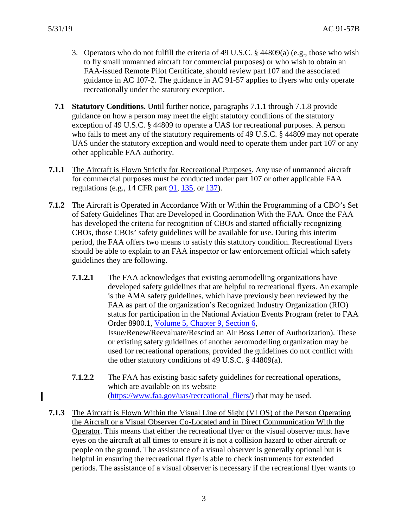- 3. Operators who do not fulfill the criteria of 49 U.S.C. § 44809(a) (e.g., those who wish to fly small unmanned aircraft for commercial purposes) or who wish to obtain an FAA-issued Remote Pilot Certificate, should review part 107 and the associated guidance in AC 107-2. The guidance in AC 91-57 applies to flyers who only operate recreationally under the statutory exception.
- **7.1 Statutory Conditions.** Until further notice, paragraphs 7.1.1 through 7.1.8 provide guidance on how a person may meet the eight statutory conditions of the statutory exception of 49 U.S.C. § 44809 to operate a UAS for recreational purposes. A person who fails to meet any of the statutory requirements of 49 U.S.C. § 44809 may not operate UAS under the statutory exception and would need to operate them under part 107 or any other applicable FAA authority.
- **7.1.1** The Aircraft is Flown Strictly for Recreational Purposes. Any use of unmanned aircraft for commercial purposes must be conducted under part 107 or other applicable FAA regulations (e.g., 14 CFR part [91,](https://www.ecfr.gov/cgi-bin/text-idx?SID=9f8baf5d99cbea0e6733658d9cf7bfe5&mc=true&node=pt14.2.91&rgn=div5) [135,](https://www.ecfr.gov/cgi-bin/text-idx?SID=9f8baf5d99cbea0e6733658d9cf7bfe5&mc=true&node=pt14.3.135&rgn=div5) or [137\)](https://www.ecfr.gov/cgi-bin/text-idx?SID=9f8baf5d99cbea0e6733658d9cf7bfe5&mc=true&node=pt14.3.137&rgn=div5).
- **7.1.2** The Aircraft is Operated in Accordance With or Within the Programming of a CBO's Set of Safety Guidelines That are Developed in Coordination With the FAA. Once the FAA has developed the criteria for recognition of CBOs and started officially recognizing CBOs, those CBOs' safety guidelines will be available for use. During this interim period, the FAA offers two means to satisfy this statutory condition. Recreational flyers should be able to explain to an FAA inspector or law enforcement official which safety guidelines they are following.
	- **7.1.2.1** The FAA acknowledges that existing aeromodelling organizations have developed safety guidelines that are helpful to recreational flyers. An example is the AMA safety guidelines, which have previously been reviewed by the FAA as part of the organization's Recognized Industry Organization (RIO) status for participation in the National Aviation Events Program (refer to FAA Order 8900.1, [Volume 5, Chapter 9, Section 6,](http://fsims.faa.gov/wdocs/8900.1/V05%20Airman%20Cert/Chapter%2009/05_009_006Rev1.htm) Issue/Renew/Reevaluate/Rescind an Air Boss Letter of Authorization). These or existing safety guidelines of another aeromodelling organization may be used for recreational operations, provided the guidelines do not conflict with the other statutory conditions of 49 U.S.C. § 44809(a).
	- **7.1.2.2** The FAA has existing basic safety guidelines for recreational operations, which are available on its website [\(https://www.faa.gov/uas/recreational\\_fliers/\)](https://www.faa.gov/uas/recreational_fliers/) that may be used.
- **7.1.3** The Aircraft is Flown Within the Visual Line of Sight (VLOS) of the Person Operating the Aircraft or a Visual Observer Co-Located and in Direct Communication With the Operator. This means that either the recreational flyer or the visual observer must have eyes on the aircraft at all times to ensure it is not a collision hazard to other aircraft or people on the ground. The assistance of a visual observer is generally optional but is helpful in ensuring the recreational flyer is able to check instruments for extended periods. The assistance of a visual observer is necessary if the recreational flyer wants to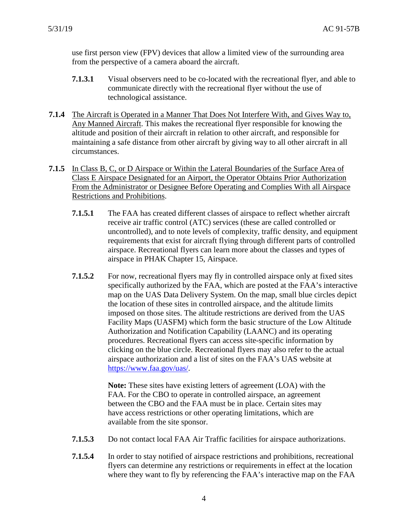use first person view (FPV) devices that allow a limited view of the surrounding area from the perspective of a camera aboard the aircraft.

- **7.1.3.1** Visual observers need to be co-located with the recreational flyer, and able to communicate directly with the recreational flyer without the use of technological assistance.
- **7.1.4** The Aircraft is Operated in a Manner That Does Not Interfere With, and Gives Way to, Any Manned Aircraft. This makes the recreational flyer responsible for knowing the altitude and position of their aircraft in relation to other aircraft, and responsible for maintaining a safe distance from other aircraft by giving way to all other aircraft in all circumstances.
- **7.1.5** In Class B, C, or D Airspace or Within the Lateral Boundaries of the Surface Area of Class E Airspace Designated for an Airport, the Operator Obtains Prior Authorization From the Administrator or Designee Before Operating and Complies With all Airspace Restrictions and Prohibitions.
	- **7.1.5.1** The FAA has created different classes of airspace to reflect whether aircraft receive air traffic control (ATC) services (these are called controlled or uncontrolled), and to note levels of complexity, traffic density, and equipment requirements that exist for aircraft flying through different parts of controlled airspace. Recreational flyers can learn more about the classes and types of airspace in PHAK Chapter 15, Airspace.
	- **7.1.5.2** For now, recreational flyers may fly in controlled airspace only at fixed sites specifically authorized by the FAA, which are posted at the FAA's interactive map on the UAS Data Delivery System. On the map, small blue circles depict the location of these sites in controlled airspace, and the altitude limits imposed on those sites. The altitude restrictions are derived from the UAS Facility Maps (UASFM) which form the basic structure of the Low Altitude Authorization and Notification Capability (LAANC) and its operating procedures. Recreational flyers can access site-specific information by clicking on the blue circle. Recreational flyers may also refer to the actual airspace authorization and a list of sites on the FAA's UAS website at [https://www.faa.gov/uas/.](https://www.faa.gov/uas/)

**Note:** These sites have existing letters of agreement (LOA) with the FAA. For the CBO to operate in controlled airspace, an agreement between the CBO and the FAA must be in place. Certain sites may have access restrictions or other operating limitations, which are available from the site sponsor.

- **7.1.5.3** Do not contact local FAA Air Traffic facilities for airspace authorizations.
- **7.1.5.4** In order to stay notified of airspace restrictions and prohibitions, recreational flyers can determine any restrictions or requirements in effect at the location where they want to fly by referencing the FAA's interactive map on the FAA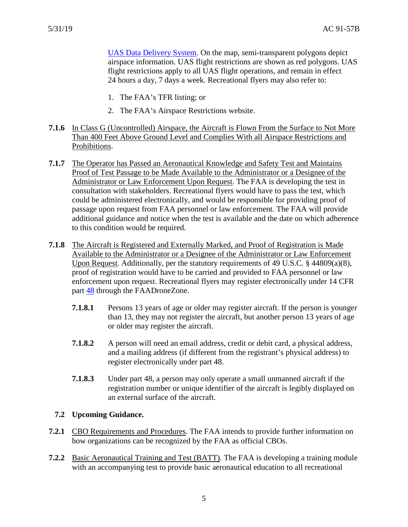UAS [Data Delivery System.](https://udds-faa.opendata.arcgis.com/) On the map, semi-transparent polygons depict airspace information. UAS flight restrictions are shown as red polygons. UAS flight restrictions apply to all UAS flight operations, and remain in effect 24 hours a day, 7 days a week. Recreational flyers may also refer to:

- 1. The FAA's TFR listing; or
- 2. The FAA's Airspace Restrictions website.
- **7.1.6** In Class G (Uncontrolled) Airspace, the Aircraft is Flown From the Surface to Not More Than 400 Feet Above Ground Level and Complies With all Airspace Restrictions and Prohibitions.
- **7.1.7** The Operator has Passed an Aeronautical Knowledge and Safety Test and Maintains Proof of Test Passage to be Made Available to the Administrator or a Designee of the Administrator or Law Enforcement Upon Request. The FAA is developing the test in consultation with stakeholders. Recreational flyers would have to pass the test, which could be administered electronically, and would be responsible for providing proof of passage upon request from FAA personnel or law enforcement. The FAA will provide additional guidance and notice when the test is available and the date on which adherence to this condition would be required.
- **7.1.8** The Aircraft is Registered and Externally Marked, and Proof of Registration is Made Available to the Administrator or a Designee of the Administrator or Law Enforcement Upon Request. Additionally, per the statutory requirements of 49 U.S.C. § 44809(a)(8), proof of registration would have to be carried and provided to FAA personnel or law enforcement upon request. Recreational flyers may register electronically under 14 CFR part [48](https://www.ecfr.gov/cgi-bin/text-idx?SID=9f8baf5d99cbea0e6733658d9cf7bfe5&mc=true&node=pt14.1.48&rgn=div5) through the FAADroneZone.
	- **7.1.8.1** Persons 13 years of age or older may register aircraft. If the person is younger than 13, they may not register the aircraft, but another person 13 years of age or older may register the aircraft.
	- **7.1.8.2** A person will need an email address, credit or debit card, a physical address, and a mailing address (if different from the registrant's physical address) to register electronically under part 48.
	- **7.1.8.3** Under part 48, a person may only operate a small unmanned aircraft if the registration number or unique identifier of the aircraft is legibly displayed on an external surface of the aircraft.

## **7.2 Upcoming Guidance.**

- **7.2.1** CBO Requirements and Procedures. The FAA intends to provide further information on how organizations can be recognized by the FAA as official CBOs.
- **7.2.2** Basic Aeronautical Training and Test (BATT). The FAA is developing a training module with an accompanying test to provide basic aeronautical education to all recreational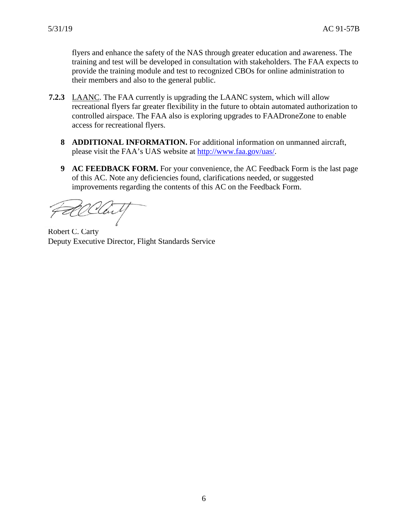flyers and enhance the safety of the NAS through greater education and awareness. The training and test will be developed in consultation with stakeholders. The FAA expects to provide the training module and test to recognized CBOs for online administration to their members and also to the general public.

- **7.2.3** LAANC. The FAA currently is upgrading the LAANC system, which will allow recreational flyers far greater flexibility in the future to obtain automated authorization to controlled airspace. The FAA also is exploring upgrades to FAADroneZone to enable access for recreational flyers.
	- **8 ADDITIONAL INFORMATION.** For additional information on unmanned aircraft, please visit the FAA's UAS website at [http://www.faa.gov/uas/.](http://www.faa.gov/uas/)
	- **9 AC FEEDBACK FORM.** For your convenience, the AC Feedback Form is the last page of this AC. Note any deficiencies found, clarifications needed, or suggested improvements regarding the contents of this AC on the Feedback Form.

Robert C. Carty Deputy Executive Director, Flight Standards Service